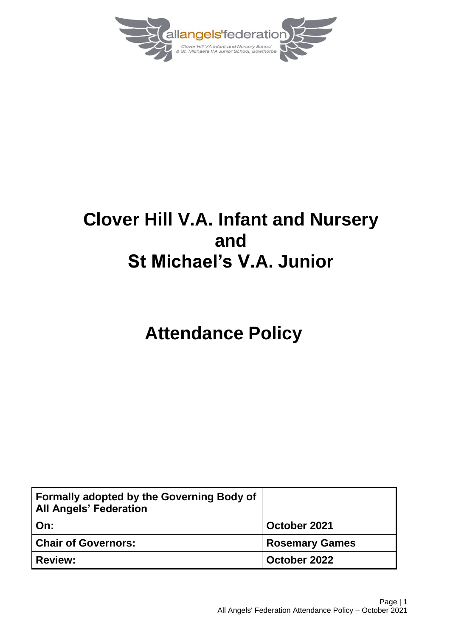

## **Clover Hill V.A. Infant and Nursery and St Michael's V.A. Junior**

# **Attendance Policy**

| Formally adopted by the Governing Body of<br><b>All Angels' Federation</b> |                       |
|----------------------------------------------------------------------------|-----------------------|
| On:                                                                        | October 2021          |
| <b>Chair of Governors:</b>                                                 | <b>Rosemary Games</b> |
| <b>Review:</b>                                                             | October 2022          |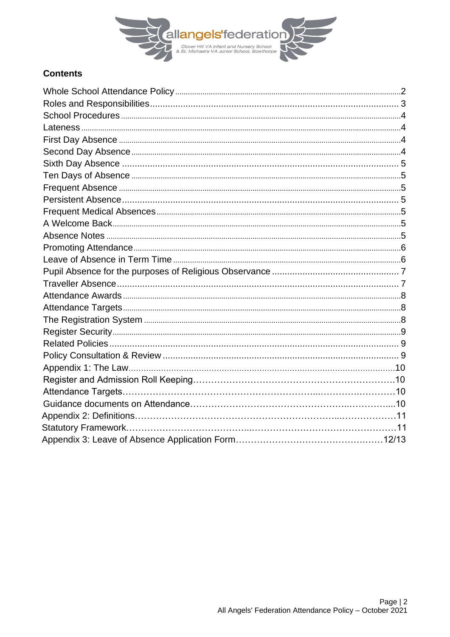

## **Contents**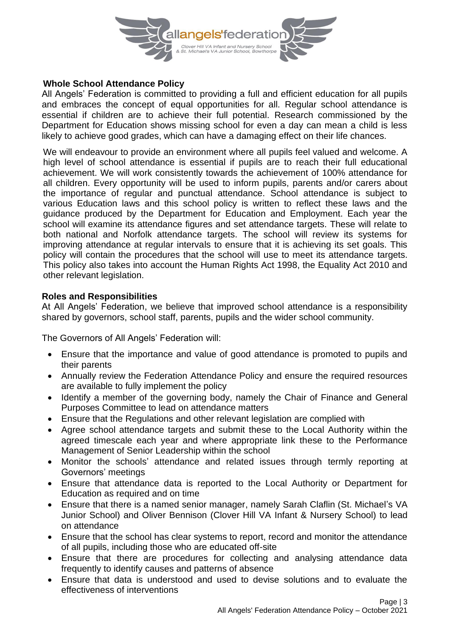

## **Whole School Attendance Policy**

All Angels' Federation is committed to providing a full and efficient education for all pupils and embraces the concept of equal opportunities for all. Regular school attendance is essential if children are to achieve their full potential. Research commissioned by the Department for Education shows missing school for even a day can mean a child is less likely to achieve good grades, which can have a damaging effect on their life chances.

We will endeavour to provide an environment where all pupils feel valued and welcome. A high level of school attendance is essential if pupils are to reach their full educational achievement. We will work consistently towards the achievement of 100% attendance for all children. Every opportunity will be used to inform pupils, parents and/or carers about the importance of regular and punctual attendance. School attendance is subject to various Education laws and this school policy is written to reflect these laws and the guidance produced by the Department for Education and Employment. Each year the school will examine its attendance figures and set attendance targets. These will relate to both national and Norfolk attendance targets. The school will review its systems for improving attendance at regular intervals to ensure that it is achieving its set goals. This policy will contain the procedures that the school will use to meet its attendance targets. This policy also takes into account the Human Rights Act 1998, the Equality Act 2010 and other relevant legislation.

#### **Roles and Responsibilities**

At All Angels' Federation, we believe that improved school attendance is a responsibility shared by governors, school staff, parents, pupils and the wider school community.

The Governors of All Angels' Federation will:

- Ensure that the importance and value of good attendance is promoted to pupils and their parents
- Annually review the Federation Attendance Policy and ensure the required resources are available to fully implement the policy
- Identify a member of the governing body, namely the Chair of Finance and General Purposes Committee to lead on attendance matters
- Ensure that the Regulations and other relevant legislation are complied with
- Agree school attendance targets and submit these to the Local Authority within the agreed timescale each year and where appropriate link these to the Performance Management of Senior Leadership within the school
- Monitor the schools' attendance and related issues through termly reporting at Governors' meetings
- Ensure that attendance data is reported to the Local Authority or Department for Education as required and on time
- Ensure that there is a named senior manager, namely Sarah Claflin (St. Michael's VA Junior School) and Oliver Bennison (Clover Hill VA Infant & Nursery School) to lead on attendance
- Ensure that the school has clear systems to report, record and monitor the attendance of all pupils, including those who are educated off-site
- Ensure that there are procedures for collecting and analysing attendance data frequently to identify causes and patterns of absence
- Ensure that data is understood and used to devise solutions and to evaluate the effectiveness of interventions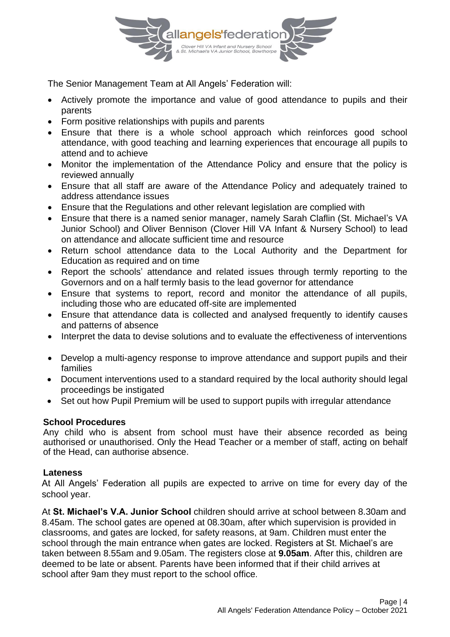

The Senior Management Team at All Angels' Federation will:

- Actively promote the importance and value of good attendance to pupils and their parents
- Form positive relationships with pupils and parents
- Ensure that there is a whole school approach which reinforces good school attendance, with good teaching and learning experiences that encourage all pupils to attend and to achieve
- Monitor the implementation of the Attendance Policy and ensure that the policy is reviewed annually
- Ensure that all staff are aware of the Attendance Policy and adequately trained to address attendance issues
- Ensure that the Regulations and other relevant legislation are complied with
- Ensure that there is a named senior manager, namely Sarah Claflin (St. Michael's VA Junior School) and Oliver Bennison (Clover Hill VA Infant & Nursery School) to lead on attendance and allocate sufficient time and resource
- Return school attendance data to the Local Authority and the Department for Education as required and on time
- Report the schools' attendance and related issues through termly reporting to the Governors and on a half termly basis to the lead governor for attendance
- Ensure that systems to report, record and monitor the attendance of all pupils, including those who are educated off-site are implemented
- Ensure that attendance data is collected and analysed frequently to identify causes and patterns of absence
- Interpret the data to devise solutions and to evaluate the effectiveness of interventions
- Develop a multi-agency response to improve attendance and support pupils and their families
- Document interventions used to a standard required by the local authority should legal proceedings be instigated
- Set out how Pupil Premium will be used to support pupils with irregular attendance

#### **School Procedures**

Any child who is absent from school must have their absence recorded as being authorised or unauthorised. Only the Head Teacher or a member of staff, acting on behalf of the Head, can authorise absence.

#### **Lateness**

At All Angels' Federation all pupils are expected to arrive on time for every day of the school year.

At **St. Michael's V.A. Junior School** children should arrive at school between 8.30am and 8.45am. The school gates are opened at 08.30am, after which supervision is provided in classrooms, and gates are locked, for safety reasons, at 9am. Children must enter the school through the main entrance when gates are locked. Registers at St. Michael's are taken between 8.55am and 9.05am. The registers close at **9.05am**. After this, children are deemed to be late or absent. Parents have been informed that if their child arrives at school after 9am they must report to the school office.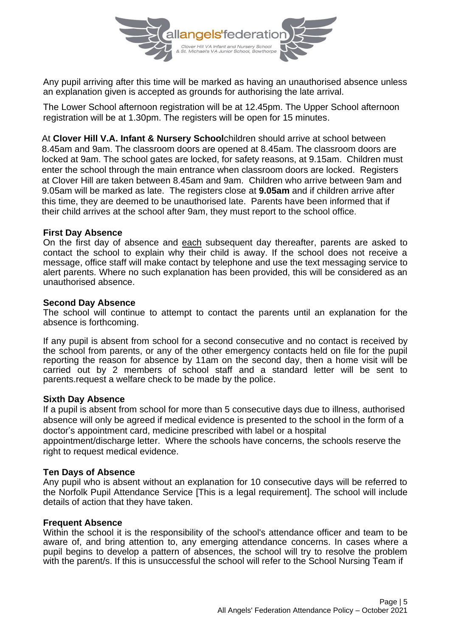

Any pupil arriving after this time will be marked as having an unauthorised absence unless an explanation given is accepted as grounds for authorising the late arrival.

The Lower School afternoon registration will be at 12.45pm. The Upper School afternoon registration will be at 1.30pm. The registers will be open for 15 minutes.

At **Clover Hill V.A. Infant & Nursery School**children should arrive at school between 8.45am and 9am. The classroom doors are opened at 8.45am. The classroom doors are locked at 9am. The school gates are locked, for safety reasons, at 9.15am. Children must enter the school through the main entrance when classroom doors are locked. Registers at Clover Hill are taken between 8.45am and 9am. Children who arrive between 9am and 9.05am will be marked as late. The registers close at **9.05am** and if children arrive after this time, they are deemed to be unauthorised late. Parents have been informed that if their child arrives at the school after 9am, they must report to the school office.

#### **First Day Absence**

On the first day of absence and each subsequent day thereafter, parents are asked to contact the school to explain why their child is away. If the school does not receive a message, office staff will make contact by telephone and use the text messaging service to alert parents. Where no such explanation has been provided, this will be considered as an unauthorised absence.

#### **Second Day Absence**

The school will continue to attempt to contact the parents until an explanation for the absence is forthcoming.

If any pupil is absent from school for a second consecutive and no contact is received by the school from parents, or any of the other emergency contacts held on file for the pupil reporting the reason for absence by 11am on the second day, then a home visit will be carried out by 2 members of school staff and a standard letter will be sent to parents.request a welfare check to be made by the police.

#### **Sixth Day Absence**

If a pupil is absent from school for more than 5 consecutive days due to illness, authorised absence will only be agreed if medical evidence is presented to the school in the form of a doctor's appointment card, medicine prescribed with label or a hospital

appointment/discharge letter. Where the schools have concerns, the schools reserve the right to request medical evidence.

#### **Ten Days of Absence**

Any pupil who is absent without an explanation for 10 consecutive days will be referred to the Norfolk Pupil Attendance Service [This is a legal requirement]. The school will include details of action that they have taken.

#### **Frequent Absence**

Within the school it is the responsibility of the school's attendance officer and team to be aware of, and bring attention to, any emerging attendance concerns. In cases where a pupil begins to develop a pattern of absences, the school will try to resolve the problem with the parent/s. If this is unsuccessful the school will refer to the School Nursing Team if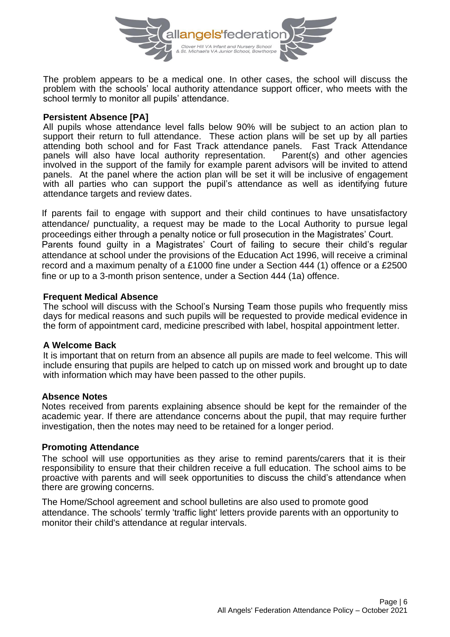

The problem appears to be a medical one. In other cases, the school will discuss the problem with the schools' local authority attendance support officer, who meets with the school termly to monitor all pupils' attendance.

#### **Persistent Absence [PA]**

All pupils whose attendance level falls below 90% will be subject to an action plan to support their return to full attendance. These action plans will be set up by all parties attending both school and for Fast Track attendance panels. Fast Track Attendance<br>panels will also have local authority representation. Parent(s) and other agencies panels will also have local authority representation. involved in the support of the family for example parent advisors will be invited to attend panels. At the panel where the action plan will be set it will be inclusive of engagement with all parties who can support the pupil's attendance as well as identifying future attendance targets and review dates.

If parents fail to engage with support and their child continues to have unsatisfactory attendance/ punctuality, a request may be made to the Local Authority to pursue legal proceedings either through a penalty notice or full prosecution in the Magistrates' Court. Parents found guilty in a Magistrates' Court of failing to secure their child's regular attendance at school under the provisions of the Education Act 1996, will receive a criminal record and a maximum penalty of a £1000 fine under a Section 444 (1) offence or a £2500 fine or up to a 3-month prison sentence, under a Section 444 (1a) offence.

#### **Frequent Medical Absence**

The school will discuss with the School's Nursing Team those pupils who frequently miss days for medical reasons and such pupils will be requested to provide medical evidence in the form of appointment card, medicine prescribed with label, hospital appointment letter.

#### **A Welcome Back**

It is important that on return from an absence all pupils are made to feel welcome. This will include ensuring that pupils are helped to catch up on missed work and brought up to date with information which may have been passed to the other pupils.

#### **Absence Notes**

Notes received from parents explaining absence should be kept for the remainder of the academic year. If there are attendance concerns about the pupil, that may require further investigation, then the notes may need to be retained for a longer period.

#### **Promoting Attendance**

The school will use opportunities as they arise to remind parents/carers that it is their responsibility to ensure that their children receive a full education. The school aims to be proactive with parents and will seek opportunities to discuss the child's attendance when there are growing concerns.

The Home/School agreement and school bulletins are also used to promote good attendance. The schools' termly 'traffic light' letters provide parents with an opportunity to monitor their child's attendance at regular intervals.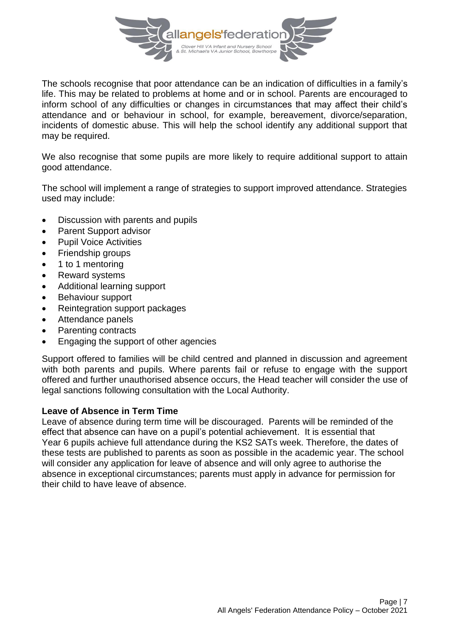

The schools recognise that poor attendance can be an indication of difficulties in a family's life. This may be related to problems at home and or in school. Parents are encouraged to inform school of any difficulties or changes in circumstances that may affect their child's attendance and or behaviour in school, for example, bereavement, divorce/separation, incidents of domestic abuse. This will help the school identify any additional support that may be required.

We also recognise that some pupils are more likely to require additional support to attain good attendance.

The school will implement a range of strategies to support improved attendance. Strategies used may include:

- Discussion with parents and pupils
- Parent Support advisor
- Pupil Voice Activities
- Friendship groups
- 1 to 1 mentoring
- Reward systems
- Additional learning support
- Behaviour support
- Reintegration support packages
- Attendance panels
- Parenting contracts
- Engaging the support of other agencies

Support offered to families will be child centred and planned in discussion and agreement with both parents and pupils. Where parents fail or refuse to engage with the support offered and further unauthorised absence occurs, the Head teacher will consider the use of legal sanctions following consultation with the Local Authority.

#### **Leave of Absence in Term Time**

Leave of absence during term time will be discouraged. Parents will be reminded of the effect that absence can have on a pupil's potential achievement. It is essential that Year 6 pupils achieve full attendance during the KS2 SATs week. Therefore, the dates of these tests are published to parents as soon as possible in the academic year. The school will consider any application for leave of absence and will only agree to authorise the absence in exceptional circumstances; parents must apply in advance for permission for their child to have leave of absence.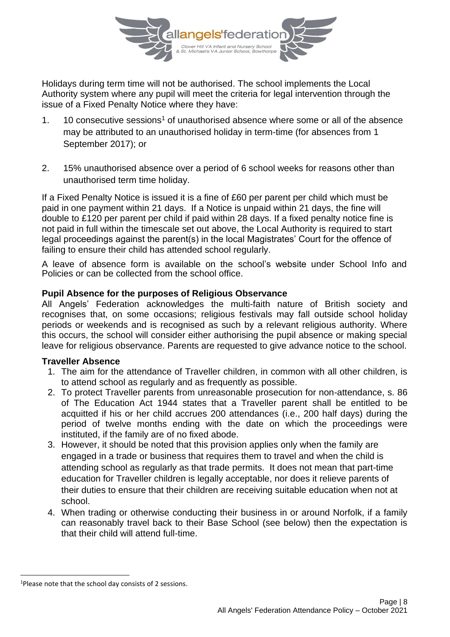

Holidays during term time will not be authorised. The school implements the Local Authority system where any pupil will meet the criteria for legal intervention through the issue of a Fixed Penalty Notice where they have:

- 1. 10 consecutive sessions<sup>1</sup> of unauthorised absence where some or all of the absence may be attributed to an unauthorised holiday in term-time (for absences from 1 September 2017); or
- 2. 15% unauthorised absence over a period of 6 school weeks for reasons other than unauthorised term time holiday.

If a Fixed Penalty Notice is issued it is a fine of £60 per parent per child which must be paid in one payment within 21 days. If a Notice is unpaid within 21 days, the fine will double to £120 per parent per child if paid within 28 days. If a fixed penalty notice fine is not paid in full within the timescale set out above, the Local Authority is required to start legal proceedings against the parent(s) in the local Magistrates' Court for the offence of failing to ensure their child has attended school regularly.

A leave of absence form is available on the school's website under School Info and Policies or can be collected from the school office.

### **Pupil Absence for the purposes of Religious Observance**

All Angels' Federation acknowledges the multi-faith nature of British society and recognises that, on some occasions; religious festivals may fall outside school holiday periods or weekends and is recognised as such by a relevant religious authority. Where this occurs, the school will consider either authorising the pupil absence or making special leave for religious observance. Parents are requested to give advance notice to the school.

#### **Traveller Absence**

- 1. The aim for the attendance of Traveller children, in common with all other children, is to attend school as regularly and as frequently as possible.
- 2. To protect Traveller parents from unreasonable prosecution for non-attendance, s. 86 of The Education Act 1944 states that a Traveller parent shall be entitled to be acquitted if his or her child accrues 200 attendances (i.e., 200 half days) during the period of twelve months ending with the date on which the proceedings were instituted, if the family are of no fixed abode.
- 3. However, it should be noted that this provision applies only when the family are engaged in a trade or business that requires them to travel and when the child is attending school as regularly as that trade permits. It does not mean that part-time education for Traveller children is legally acceptable, nor does it relieve parents of their duties to ensure that their children are receiving suitable education when not at school.
- 4. When trading or otherwise conducting their business in or around Norfolk, if a family can reasonably travel back to their Base School (see below) then the expectation is that their child will attend full-time.

<sup>&</sup>lt;sup>1</sup>Please note that the school day consists of 2 sessions.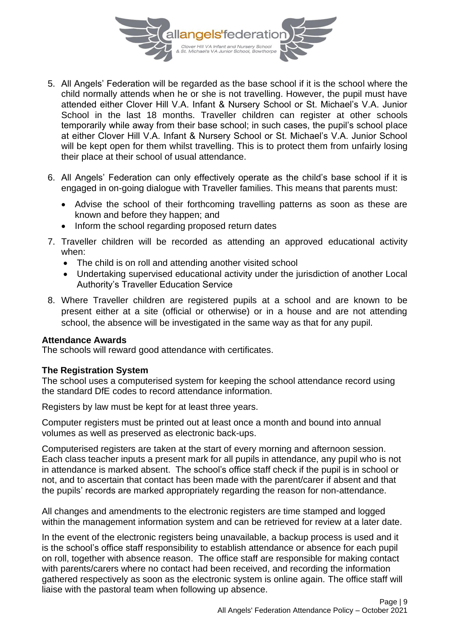

- 5. All Angels' Federation will be regarded as the base school if it is the school where the child normally attends when he or she is not travelling. However, the pupil must have attended either Clover Hill V.A. Infant & Nursery School or St. Michael's V.A. Junior School in the last 18 months. Traveller children can register at other schools temporarily while away from their base school; in such cases, the pupil's school place at either Clover Hill V.A. Infant & Nursery School or St. Michael's V.A. Junior School will be kept open for them whilst travelling. This is to protect them from unfairly losing their place at their school of usual attendance.
- 6. All Angels' Federation can only effectively operate as the child's base school if it is engaged in on-going dialogue with Traveller families. This means that parents must:
	- Advise the school of their forthcoming travelling patterns as soon as these are known and before they happen; and
	- Inform the school regarding proposed return dates
- 7. Traveller children will be recorded as attending an approved educational activity when:
	- The child is on roll and attending another visited school
	- Undertaking supervised educational activity under the jurisdiction of another Local Authority's Traveller Education Service
- 8. Where Traveller children are registered pupils at a school and are known to be present either at a site (official or otherwise) or in a house and are not attending school, the absence will be investigated in the same way as that for any pupil.

#### **Attendance Awards**

The schools will reward good attendance with certificates.

#### **The Registration System**

The school uses a computerised system for keeping the school attendance record using the standard DfE codes to record attendance information.

Registers by law must be kept for at least three years.

Computer registers must be printed out at least once a month and bound into annual volumes as well as preserved as electronic back-ups.

Computerised registers are taken at the start of every morning and afternoon session. Each class teacher inputs a present mark for all pupils in attendance, any pupil who is not in attendance is marked absent. The school's office staff check if the pupil is in school or not, and to ascertain that contact has been made with the parent/carer if absent and that the pupils' records are marked appropriately regarding the reason for non-attendance.

All changes and amendments to the electronic registers are time stamped and logged within the management information system and can be retrieved for review at a later date.

In the event of the electronic registers being unavailable, a backup process is used and it is the school's office staff responsibility to establish attendance or absence for each pupil on roll, together with absence reason. The office staff are responsible for making contact with parents/carers where no contact had been received, and recording the information gathered respectively as soon as the electronic system is online again. The office staff will liaise with the pastoral team when following up absence.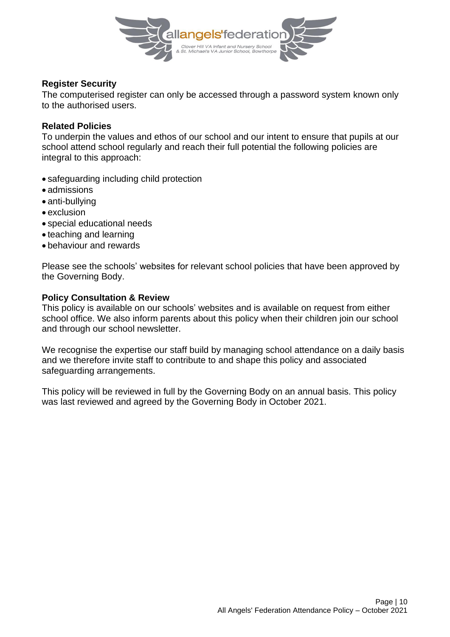

## **Register Security**

The computerised register can only be accessed through a password system known only to the authorised users.

### **Related Policies**

To underpin the values and ethos of our school and our intent to ensure that pupils at our school attend school regularly and reach their full potential the following policies are integral to this approach:

- safeguarding including child protection
- admissions
- anti-bullying
- exclusion
- special educational needs
- teaching and learning
- behaviour and rewards

Please see the schools' websites for relevant school policies that have been approved by the Governing Body.

### **Policy Consultation & Review**

This policy is available on our schools' websites and is available on request from either school office. We also inform parents about this policy when their children join our school and through our school newsletter.

We recognise the expertise our staff build by managing school attendance on a daily basis and we therefore invite staff to contribute to and shape this policy and associated safeguarding arrangements.

This policy will be reviewed in full by the Governing Body on an annual basis. This policy was last reviewed and agreed by the Governing Body in October 2021.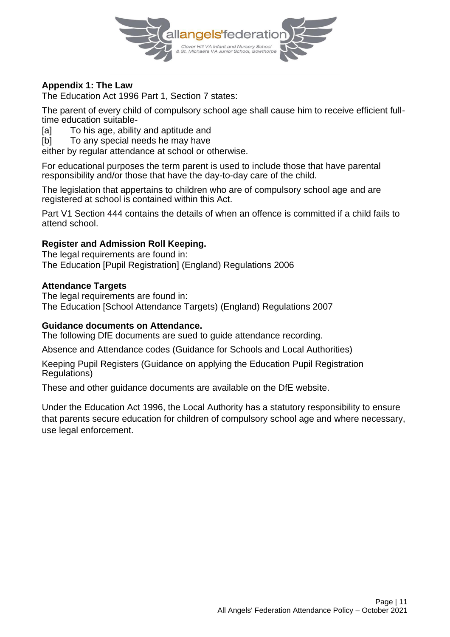

## **Appendix 1: The Law**

The Education Act 1996 Part 1, Section 7 states:

The parent of every child of compulsory school age shall cause him to receive efficient fulltime education suitable-

[a] To his age, ability and aptitude and

[b] To any special needs he may have

either by regular attendance at school or otherwise.

For educational purposes the term parent is used to include those that have parental responsibility and/or those that have the day-to-day care of the child.

The legislation that appertains to children who are of compulsory school age and are registered at school is contained within this Act.

Part V1 Section 444 contains the details of when an offence is committed if a child fails to attend school.

## **Register and Admission Roll Keeping.**

The legal requirements are found in: The Education [Pupil Registration] (England) Regulations 2006

### **Attendance Targets**

The legal requirements are found in: The Education [School Attendance Targets) (England) Regulations 2007

#### **Guidance documents on Attendance.**

The following DfE documents are sued to guide attendance recording.

Absence and Attendance codes (Guidance for Schools and Local Authorities)

Keeping Pupil Registers (Guidance on applying the Education Pupil Registration Regulations)

These and other guidance documents are available on the DfE website.

Under the Education Act 1996, the Local Authority has a statutory responsibility to ensure that parents secure education for children of compulsory school age and where necessary, use legal enforcement.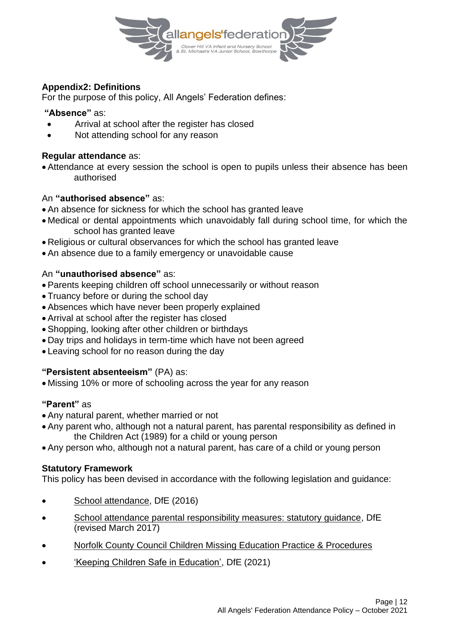

## **Appendix2: Definitions**

For the purpose of this policy, All Angels' Federation defines:

#### **"Absence"** as:

- Arrival at school after the register has closed
- Not attending school for any reason

### **Regular attendance** as:

• Attendance at every session the school is open to pupils unless their absence has been authorised

### An **"authorised absence"** as:

- An absence for sickness for which the school has granted leave
- Medical or dental appointments which unavoidably fall during school time, for which the school has granted leave
- Religious or cultural observances for which the school has granted leave
- An absence due to a family emergency or unavoidable cause

## An **"unauthorised absence"** as:

- Parents keeping children off school unnecessarily or without reason
- Truancy before or during the school day
- Absences which have never been properly explained
- Arrival at school after the register has closed
- Shopping, looking after other children or birthdays
- Day trips and holidays in term-time which have not been agreed
- Leaving school for no reason during the day

## **"Persistent absenteeism"** (PA) as:

• Missing 10% or more of schooling across the year for any reason

## **"Parent"** as

- Any natural parent, whether married or not
- Any parent who, although not a natural parent, has parental responsibility as defined in the Children Act (1989) for a child or young person
- Any person who, although not a natural parent, has care of a child or young person

## **Statutory Framework**

This policy has been devised in accordance with the following legislation and guidance:

- [School attendance,](https://www.gov.uk/government/uploads/system/uploads/attachment_data/file/564599/school_attendance.pdf) DfE (2016)
- [School attendance parental responsibility measures: statutory guidance,](https://www.gov.uk/government/uploads/system/uploads/attachment_data/file/581539/School_attendance_parental_responsibility_measures_statutory_guidance.pdf) DfE (revised March 2017)
- [Norfolk County Council Children Missing Education Practice & Procedures](file://///stmserv/public/OneDrive%20-%20Norfolk%20County%20Council/Downloads/NCC176666%20(7).pdf)
- ['Keeping Children Safe in Education',](https://www.gov.uk/government/publications/keeping-children-safe-in-education--2) DfE (2021)